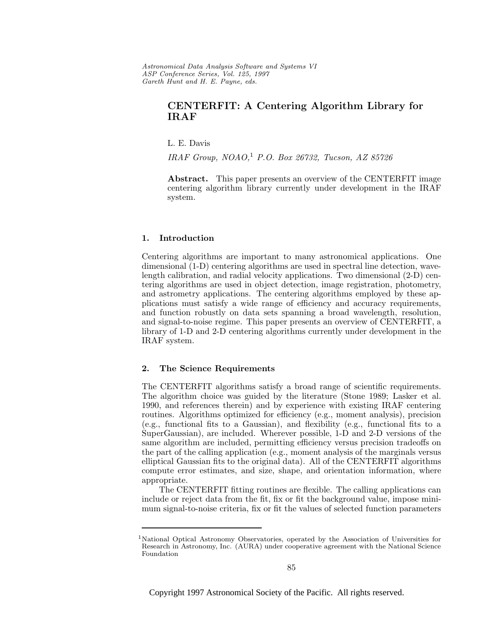Astronomical Data Analysis Software and Systems VI ASP Conference Series, Vol. 125, 1997 Gareth Hunt and H. E. Payne, e ds.

# **CENTERFIT: A Centering Algorithm Library for IRAF**

L. E. Davis

 $IRAF$  Group,  $NOAO, 1$  P.O. Box 26732, Tucson, AZ 85726

**Abstract.** This paper presents an overview of the CENTERFIT image centering algorithm library currently under development in the IRAF system.

### **1. Introduction**

Centering algorithms are important to many astronomical applications. One dimensional (1-D) centering algorithms are used in spectral line detection, wavelength calibration, and radial velocity applications. Two dimensional (2-D) centering algorithms are used in object detection, image registration, photometry, and astrometry applications. The centering algorithms employed by these applications must satisfy a wide range of efficiency and accuracy requirements, and function robustly on data sets spanning a broad wavelength, resolution, and signal-to-noise regime. This paper presents an overview of CENTERFIT, a library of 1-D and 2-D centering algorithms currently under development in the IRAF system.

# **2. The Science Requirements**

The CENTERFIT algorithms satisfy a broad range of scientific requirements. The algorithm choice was guided by the literature (Stone 1989; Lasker et al. 1990, and references therein) and by experience with existing IRAF centering routines. Algorithms optimized for efficiency (e.g., moment analysis), precision (e.g., functional fits to a Gaussian), and flexibility (e.g., functional fits to a SuperGaussian), are included. Wherever possible, 1-D and 2-D versions of the same algorithm are included, permitting efficiency versus precision tradeoffs on the part of the calling application (e.g., moment analysis of the marginals versus elliptical Gaussian fits to the original data). All of the CENTERFIT algorithms compute error estimates, and size, shape, and orientation information, where appropriate.

The CENTERFIT fitting routines are flexible. The calling applications can include or reject data from the fit, fix or fit the background value, impose minimum signal-to-noise criteria, fix or fit the values of selected function parameters

<sup>&</sup>lt;sup>1</sup>National Optical Astronomy Observatories, operated by the Association of Universities for Research in Astronomy, Inc. (AURA) under cooperative agreement with the National Science Foundation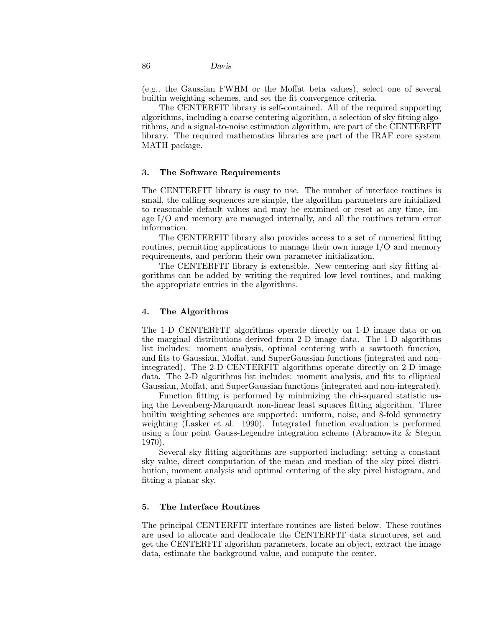86 *Davis*

(e.g., the Gaussian FWHM or the Moffat beta values), select one of several builtin weighting schemes, and set the fit convergence criteria.

The CENTERFIT library is self-contained. All of the required supporting algorithms, including a coarse centering algorithm, a selection of sky fitting algorithms, and a signal-to-noise estimation algorithm, are part of the CENTERFIT library. The required mathematics libraries are part of the IRAF core system MATH package.

### **3. The Software Requirements**

The CENTERFIT library is easy to use. The number of interface routines is small, the calling sequences are simple, the algorithm parameters are initialized to reasonable default values and may be examined or reset at any time, image I/O and memory are managed internally, and all the routines return error information.

The CENTERFIT library also provides access to a set of numerical fitting routines, permitting applications to manage their own image I/O and memory requirements, and perform their own parameter initialization.

The CENTERFIT library is extensible. New centering and sky fitting algorithms can be added by writing the required low level routines, and making the appropriate entries in the algorithms.

# **4. The Algorithms**

The 1-D CENTERFIT algorithms operate directly on 1-D image data or on the marginal distributions derived from 2-D image data. The 1-D algorithms list includes: moment analysis, optimal centering with a sawtooth function, and fits to Gaussian, Moffat, and SuperGaussian functions (integrated and nonintegrated). The 2-D CENTERFIT algorithms operate directly on 2-D image data. The 2-D algorithms list includes: moment analysis, and fits to elliptical Gaussian, Moffat, and SuperGaussian functions (integrated and non-integrated).

Function fitting is performed by minimizing the chi-squared statistic using the Levenberg-Marquardt non-linear least squares fitting algorithm. Three builtin weighting schemes are supported: uniform, noise, and 8-fold symmetry weighting (Lasker et al. 1990). Integrated function evaluation is performed using a four point Gauss-Legendre integration scheme (Abramowitz & Stegun 1970).

Several sky fitting algorithms are supported including: setting a constant sky value, direct computation of the mean and median of the sky pixel distribution, moment analysis and optimal centering of the sky pixel histogram, and fitting a planar sky.

#### **5. The Interface Routines**

The principal CENTERFIT interface routines are listed below. These routines are used to allocate and deallocate the CENTERFIT data structures, set and get the CENTERFIT algorithm parameters, locate an object, extract the image data, estimate the background value, and compute the center.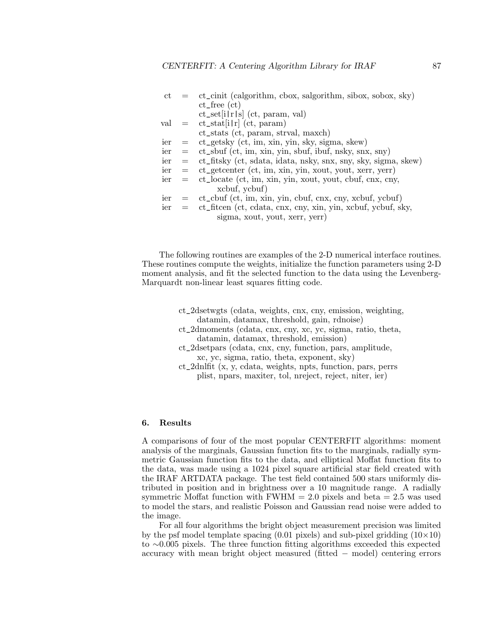$ct = ct_c$ cinit (calgorithm, cbox, salgorithm, sibox, sobox, sky) ct\_free (ct)  $ct_set[i|r|s]$  (ct, param, val) val  $=$  ct\_stat[i|r] (ct, param) ct\_stats (ct, param, strval, maxch)  $ier = ct\_getsky (ct, im, xin, yin, sky, sigma, skew)$  $ier = ct_s$ buf (ct, im, xin, yin, sbuf, ibuf, nsky, snx, sny) ier = ct\_fitsky (ct, sdata, idata, nsky, snx, sny, sky, sigma, skew) ier = ct\_getcenter (ct, im, xin, yin, xout, yout, xerr, yerr)  $\text{ier} = \text{ct\_locate (ct, im, xin, vin, xout, vout, cbuf, cnx, cny,})$ xcbuf, ycbuf)  $\text{ier} = \text{ct\_cbuf (ct, im, xin, vin, cbuf, cnx, cny, xcbuf, vcbuf)}$ ier = ct\_fitcen (ct, cdata, cnx, cny, xin, yin, xcbuf, ycbuf, sky, sigma, xout, yout, xerr, yerr)

The following routines are examples of the 2-D numerical interface routines. These routines compute the weights, initialize the function parameters using 2-D moment analysis, and fit the selected function to the data using the Levenberg-Marquardt non-linear least squares fitting code.

- ct\_2dsetwgts (cdata, weights, cnx, cny, emission, weighting, datamin, datamax, threshold, gain, rdnoise)
- ct\_2dmoments (cdata, cnx, cny, xc, yc, sigma, ratio, theta, datamin, datamax, threshold, emission)
- ct\_2dsetpars (cdata, cnx, cny, function, pars, amplitude, xc, yc, sigma, ratio, theta, exponent, sky)
- ct\_2dnlfit (x, y, cdata, weights, npts, function, pars, perrs plist, npars, maxiter, tol, nreject, reject, niter, ier)

# **6. Results**

A comparisons of four of the most popular CENTERFIT algorithms: moment analysis of the marginals, Gaussian function fits to the marginals, radially symmetric Gaussian function fits to the data, and elliptical Moffat function fits to the data, was made using a 1024 pixel square artificial star field created with the IRAF ARTDATA package. The test field contained 500 stars uniformly distributed in position and in brightness over a 10 magnitude range. A radially symmetric Moffat function with  $FWHM = 2.0$  pixels and beta  $= 2.5$  was used to model the stars, and realistic Poisson and Gaussian read noise were added to the image.

For all four algorithms the bright object measurement precision was limited by the psf model template spacing  $(0.01 \text{ pixels})$  and sub-pixel gridding  $(10\times10)$ to ∼0.005 pixels. The three function fitting algorithms exceeded this expected accuracy with mean bright object measured (fitted − model) centering errors